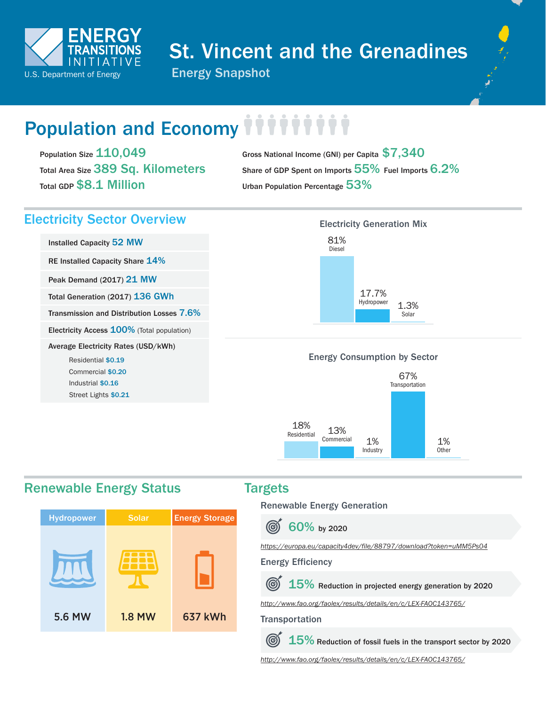

# St. Vincent and the Grenadines



# Population and Economy

Population Size 110,049 Total Area Size 389 Sq. Kilometers Total GDP \$8.1 Million

Gross National Income (GNI) per Capita \$7,340 Share of GDP Spent on Imports  $55\%$  Fuel Imports  $6.2\%$ Urban Population Percentage 53%

# Electricity Sector Overview **Electricity Generation Mix**

Installed Capacity 52 MW RE Installed Capacity Share 14% Peak Demand (2017) 21 MW Total Generation (2017) 136 GWh Transmission and Distribution Losses 7.6% Electricity Access 100% (Total population) Average Electricity Rates (USD/kWh) Residential \$0.19 Commercial \$0.20 Industrial \$0.16 Street Lights \$0.21



## Energy Consumption by Sector



# Renewable Energy Status Targets



Renewable Energy Generation

 $\textcircled{\tiny{\textcircled{\tiny{f}}}}$ 60% by 2020

*<https://europa.eu/capacity4dev/file/88797/download?token=uMM5Ps04>*

### Energy Efficiency

 $15\%$  Reduction in projected energy generation by 2020

 $(\mathcal{C})$ 

*<http://www.fao.org/faolex/results/details/en/c/LEX-FAOC143765/>*

(G)  $15\%$  Reduction of fossil fuels in the transport sector by 2020

*<http://www.fao.org/faolex/results/details/en/c/LEX-FAOC143765/>*